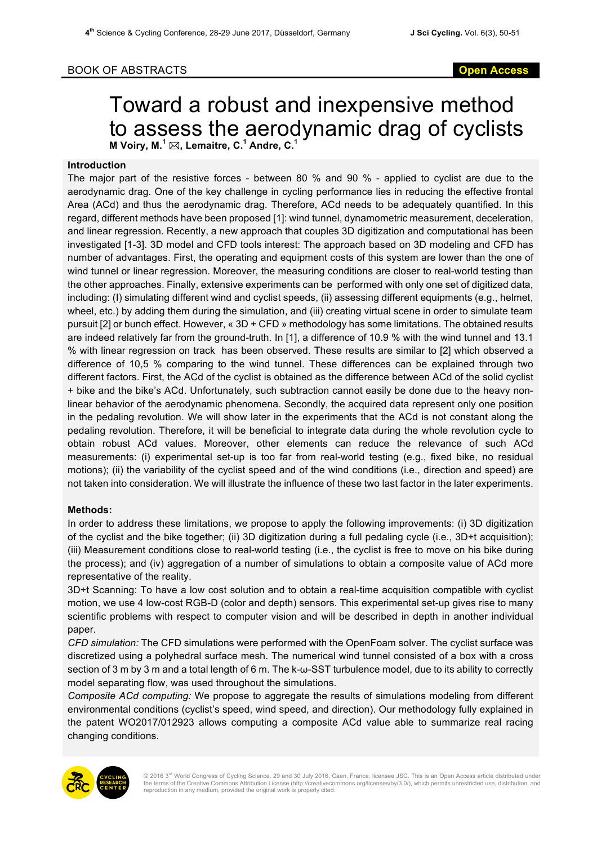## BOOK OF ABSTRACTS **Open Access**

# Toward a robust and inexpensive method to assess the aerodynamic drag of cyclists **M** Voiry, M.<sup> $1$ </sup>  $\boxtimes$ , Lemaitre, C.<sup>1</sup> Andre, C.

### **Introduction**

The major part of the resistive forces - between 80 % and 90 % - applied to cyclist are due to the aerodynamic drag. One of the key challenge in cycling performance lies in reducing the effective frontal Area (ACd) and thus the aerodynamic drag. Therefore, ACd needs to be adequately quantified. In this regard, different methods have been proposed [1]: wind tunnel, dynamometric measurement, deceleration, and linear regression. Recently, a new approach that couples 3D digitization and computational has been investigated [1-3]. 3D model and CFD tools interest: The approach based on 3D modeling and CFD has number of advantages. First, the operating and equipment costs of this system are lower than the one of wind tunnel or linear regression. Moreover, the measuring conditions are closer to real-world testing than the other approaches. Finally, extensive experiments can be performed with only one set of digitized data, including: (I) simulating different wind and cyclist speeds, (ii) assessing different equipments (e.g., helmet, wheel, etc.) by adding them during the simulation, and (iii) creating virtual scene in order to simulate team pursuit [2] or bunch effect. However, « 3D + CFD » methodology has some limitations. The obtained results are indeed relatively far from the ground-truth. In [1], a difference of 10.9 % with the wind tunnel and 13.1 % with linear regression on track has been observed. These results are similar to [2] which observed a difference of 10,5 % comparing to the wind tunnel. These differences can be explained through two different factors. First, the ACd of the cyclist is obtained as the difference between ACd of the solid cyclist + bike and the bike's ACd. Unfortunately, such subtraction cannot easily be done due to the heavy nonlinear behavior of the aerodynamic phenomena. Secondly, the acquired data represent only one position in the pedaling revolution. We will show later in the experiments that the ACd is not constant along the pedaling revolution. Therefore, it will be beneficial to integrate data during the whole revolution cycle to obtain robust ACd values. Moreover, other elements can reduce the relevance of such ACd measurements: (i) experimental set-up is too far from real-world testing (e.g., fixed bike, no residual motions); (ii) the variability of the cyclist speed and of the wind conditions (i.e., direction and speed) are not taken into consideration. We will illustrate the influence of these two last factor in the later experiments.

### **Methods:**

In order to address these limitations, we propose to apply the following improvements: (i) 3D digitization of the cyclist and the bike together; (ii) 3D digitization during a full pedaling cycle (i.e., 3D+t acquisition); (iii) Measurement conditions close to real-world testing (i.e., the cyclist is free to move on his bike during the process); and (iv) aggregation of a number of simulations to obtain a composite value of ACd more representative of the reality.

3D+t Scanning: To have a low cost solution and to obtain a real-time acquisition compatible with cyclist motion, we use 4 low-cost RGB-D (color and depth) sensors. This experimental set-up gives rise to many scientific problems with respect to computer vision and will be described in depth in another individual paper.

*CFD simulation:* The CFD simulations were performed with the OpenFoam solver. The cyclist surface was discretized using a polyhedral surface mesh. The numerical wind tunnel consisted of a box with a cross section of 3 m by 3 m and a total length of 6 m. The k-ω-SST turbulence model, due to its ability to correctly model separating flow, was used throughout the simulations.

*Composite ACd computing:* We propose to aggregate the results of simulations modeling from different environmental conditions (cyclist's speed, wind speed, and direction). Our methodology fully explained in the patent WO2017/012923 allows computing a composite ACd value able to summarize real racing changing conditions.